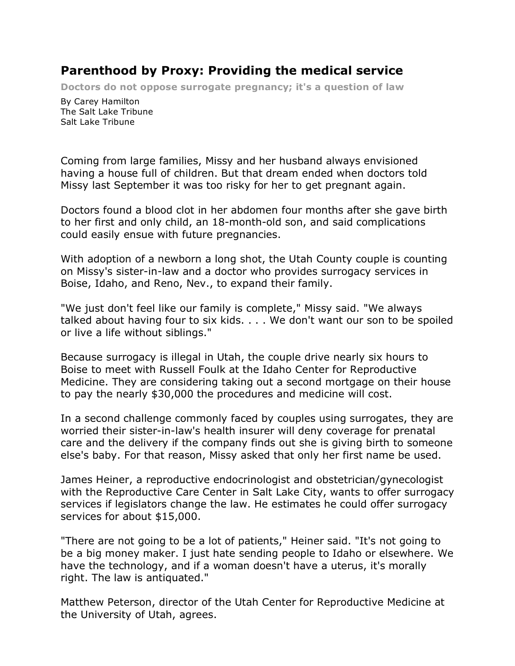## **Parenthood by Proxy: Providing the medical service**

**Doctors do not oppose surrogate pregnancy; it's a question of law** 

By Carey Hamilton The Salt Lake Tribune Salt Lake Tribune

Coming from large families, Missy and her husband always envisioned having a house full of children. But that dream ended when doctors told Missy last September it was too risky for her to get pregnant again.

Doctors found a blood clot in her abdomen four months after she gave birth to her first and only child, an 18-month-old son, and said complications could easily ensue with future pregnancies.

With adoption of a newborn a long shot, the Utah County couple is counting on Missy's sister-in-law and a doctor who provides surrogacy services in Boise, Idaho, and Reno, Nev., to expand their family.

"We just don't feel like our family is complete," Missy said. "We always talked about having four to six kids. . . . We don't want our son to be spoiled or live a life without siblings."

Because surrogacy is illegal in Utah, the couple drive nearly six hours to Boise to meet with Russell Foulk at the Idaho Center for Reproductive Medicine. They are considering taking out a second mortgage on their house to pay the nearly \$30,000 the procedures and medicine will cost.

In a second challenge commonly faced by couples using surrogates, they are worried their sister-in-law's health insurer will deny coverage for prenatal care and the delivery if the company finds out she is giving birth to someone else's baby. For that reason, Missy asked that only her first name be used.

James Heiner, a reproductive endocrinologist and obstetrician/gynecologist with the Reproductive Care Center in Salt Lake City, wants to offer surrogacy services if legislators change the law. He estimates he could offer surrogacy services for about \$15,000.

"There are not going to be a lot of patients," Heiner said. "It's not going to be a big money maker. I just hate sending people to Idaho or elsewhere. We have the technology, and if a woman doesn't have a uterus, it's morally right. The law is antiquated."

Matthew Peterson, director of the Utah Center for Reproductive Medicine at the University of Utah, agrees.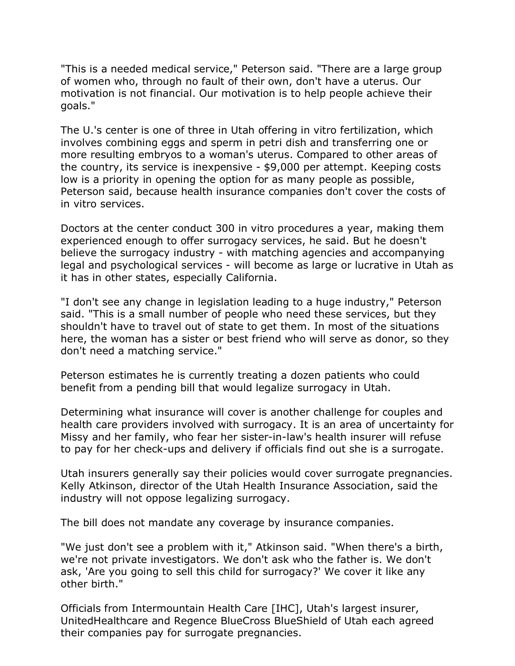"This is a needed medical service," Peterson said. "There are a large group of women who, through no fault of their own, don't have a uterus. Our motivation is not financial. Our motivation is to help people achieve their goals."

The U.'s center is one of three in Utah offering in vitro fertilization, which involves combining eggs and sperm in petri dish and transferring one or more resulting embryos to a woman's uterus. Compared to other areas of the country, its service is inexpensive - \$9,000 per attempt. Keeping costs low is a priority in opening the option for as many people as possible, Peterson said, because health insurance companies don't cover the costs of in vitro services.

Doctors at the center conduct 300 in vitro procedures a year, making them experienced enough to offer surrogacy services, he said. But he doesn't believe the surrogacy industry - with matching agencies and accompanying legal and psychological services - will become as large or lucrative in Utah as it has in other states, especially California.

"I don't see any change in legislation leading to a huge industry," Peterson said. "This is a small number of people who need these services, but they shouldn't have to travel out of state to get them. In most of the situations here, the woman has a sister or best friend who will serve as donor, so they don't need a matching service."

Peterson estimates he is currently treating a dozen patients who could benefit from a pending bill that would legalize surrogacy in Utah.

Determining what insurance will cover is another challenge for couples and health care providers involved with surrogacy. It is an area of uncertainty for Missy and her family, who fear her sister-in-law's health insurer will refuse to pay for her check-ups and delivery if officials find out she is a surrogate.

Utah insurers generally say their policies would cover surrogate pregnancies. Kelly Atkinson, director of the Utah Health Insurance Association, said the industry will not oppose legalizing surrogacy.

The bill does not mandate any coverage by insurance companies.

"We just don't see a problem with it," Atkinson said. "When there's a birth, we're not private investigators. We don't ask who the father is. We don't ask, 'Are you going to sell this child for surrogacy?' We cover it like any other birth."

Officials from Intermountain Health Care [IHC], Utah's largest insurer, UnitedHealthcare and Regence BlueCross BlueShield of Utah each agreed their companies pay for surrogate pregnancies.